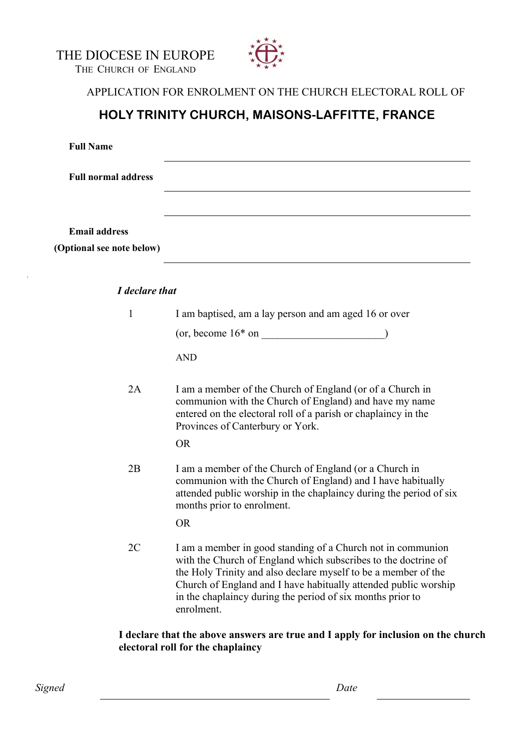THE DIOCESE IN EUROPE

THE CHURCH OF ENGLAND



## APPLICATION FOR ENROLMENT ON THE CHURCH ELECTORAL ROLL OF

# **HOLY TRINITY CHURCH, MAISONS-LAFFITTE, FRANCE**

| <b>Full Name</b>           |  |
|----------------------------|--|
| <b>Full normal address</b> |  |
|                            |  |
| <b>Email address</b>       |  |
| (Optional see note below)  |  |

### *I declare that*

| 1  | I am baptised, am a lay person and am aged 16 or over                                                                                                                                                                                                                                                                                          |
|----|------------------------------------------------------------------------------------------------------------------------------------------------------------------------------------------------------------------------------------------------------------------------------------------------------------------------------------------------|
|    | (or, become $16^*$ on                                                                                                                                                                                                                                                                                                                          |
|    | <b>AND</b>                                                                                                                                                                                                                                                                                                                                     |
| 2A | I am a member of the Church of England (or of a Church in<br>communion with the Church of England) and have my name<br>entered on the electoral roll of a parish or chaplaincy in the<br>Provinces of Canterbury or York.                                                                                                                      |
|    | <b>OR</b>                                                                                                                                                                                                                                                                                                                                      |
| 2B | I am a member of the Church of England (or a Church in<br>communion with the Church of England) and I have habitually<br>attended public worship in the chaplaincy during the period of six<br>months prior to enrolment.                                                                                                                      |
|    | <b>OR</b>                                                                                                                                                                                                                                                                                                                                      |
| 2C | I am a member in good standing of a Church not in communion<br>with the Church of England which subscribes to the doctrine of<br>the Holy Trinity and also declare myself to be a member of the<br>Church of England and I have habitually attended public worship<br>in the chaplaincy during the period of six months prior to<br>enrolment. |

#### **I declare that the above answers are true and I apply for inclusion on the church electoral roll for the chaplaincy**

7